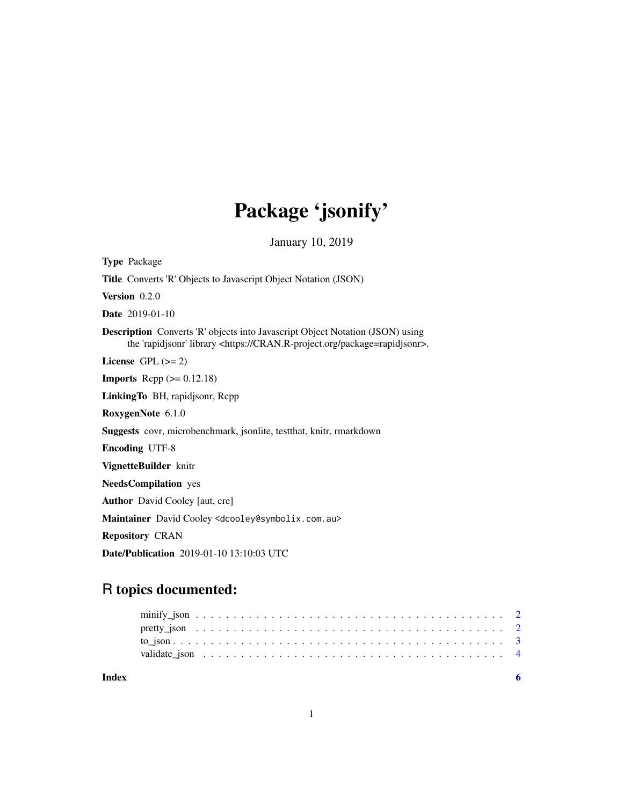## Package 'jsonify'

January 10, 2019

Type Package Title Converts 'R' Objects to Javascript Object Notation (JSON) Version 0.2.0 Date 2019-01-10 Description Converts 'R' objects into Javascript Object Notation (JSON) using the 'rapidjsonr' library <https://CRAN.R-project.org/package=rapidjsonr>. License GPL  $(>= 2)$ **Imports** Rcpp  $(>= 0.12.18)$ LinkingTo BH, rapidjsonr, Rcpp RoxygenNote 6.1.0 Suggests covr, microbenchmark, jsonlite, testthat, knitr, rmarkdown Encoding UTF-8 VignetteBuilder knitr NeedsCompilation yes Author David Cooley [aut, cre] Maintainer David Cooley <dcooley@symbolix.com.au> Repository CRAN

Date/Publication 2019-01-10 13:10:03 UTC

## R topics documented:

| Index |  |  |  |  |  |  |  |  |  |  |  |  |  |  |  |  |  |  |  |  |  |
|-------|--|--|--|--|--|--|--|--|--|--|--|--|--|--|--|--|--|--|--|--|--|
|       |  |  |  |  |  |  |  |  |  |  |  |  |  |  |  |  |  |  |  |  |  |
|       |  |  |  |  |  |  |  |  |  |  |  |  |  |  |  |  |  |  |  |  |  |
|       |  |  |  |  |  |  |  |  |  |  |  |  |  |  |  |  |  |  |  |  |  |
|       |  |  |  |  |  |  |  |  |  |  |  |  |  |  |  |  |  |  |  |  |  |

1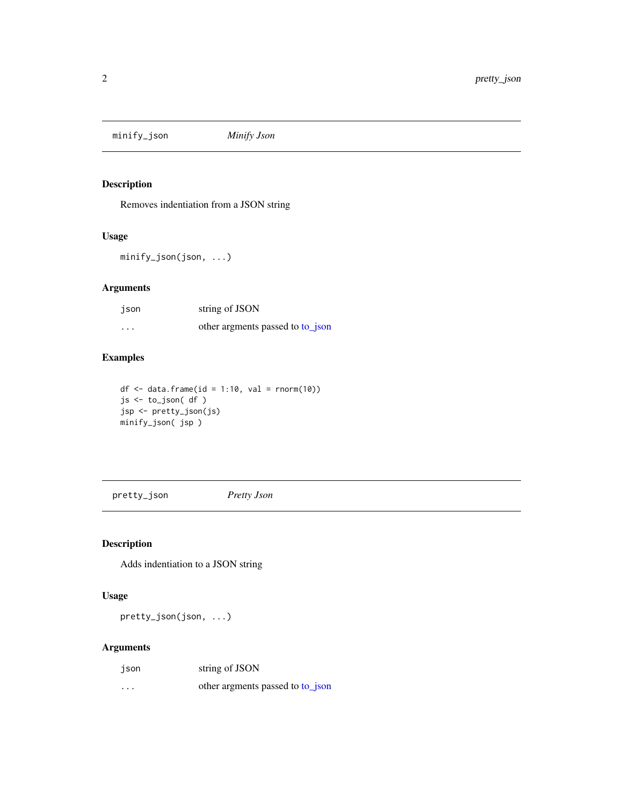<span id="page-1-0"></span>minify\_json *Minify Json*

#### Description

Removes indentiation from a JSON string

#### Usage

minify\_json(json, ...)

#### Arguments

| json     | string of JSON                   |
|----------|----------------------------------|
| $\cdots$ | other argments passed to to json |

#### Examples

```
df \leftarrow data . frame(id = 1:10, val = rnorm(10))js <- to_json( df )
jsp <- pretty_json(js)
minify_json( jsp )
```
pretty\_json *Pretty Json*

#### Description

Adds indentiation to a JSON string

#### Usage

pretty\_json(json, ...)

#### Arguments

| json     | string of JSON                   |
|----------|----------------------------------|
| $\cdots$ | other argments passed to to json |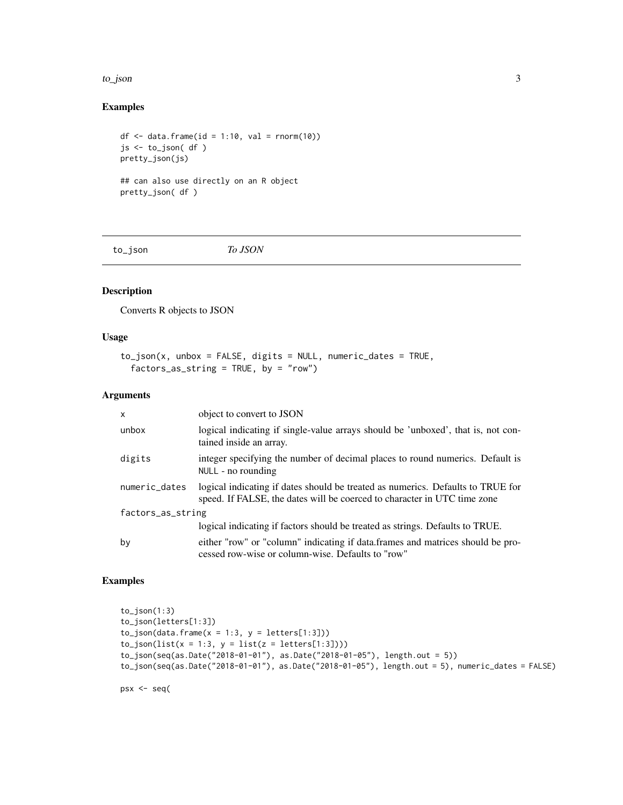#### <span id="page-2-0"></span>to\_json 3

#### Examples

```
df \le data.frame(id = 1:10, val = rnorm(10))
js <- to_json( df )
pretty_json(js)
## can also use directly on an R object
pretty_json( df )
```
<span id="page-2-1"></span>to\_json *To JSON*

#### Description

Converts R objects to JSON

#### Usage

```
to_json(x, unbox = FALSE, digits = NULL, numeric_dates = TRUE,
 factors_as_string = TRUE, by = "row")
```
#### Arguments

| $\mathsf{x}$      | object to convert to JSON                                                                                                                                   |
|-------------------|-------------------------------------------------------------------------------------------------------------------------------------------------------------|
| unbox             | logical indicating if single-value arrays should be 'unboxed', that is, not con-<br>tained inside an array.                                                 |
| digits            | integer specifying the number of decimal places to round numerics. Default is<br>NULL - no rounding                                                         |
| numeric_dates     | logical indicating if dates should be treated as numerics. Defaults to TRUE for<br>speed. If FALSE, the dates will be coerced to character in UTC time zone |
| factors_as_string |                                                                                                                                                             |
|                   | logical indicating if factors should be treated as strings. Defaults to TRUE.                                                                               |
| by                | either "row" or "column" indicating if data.frames and matrices should be pro-<br>cessed row-wise or column-wise. Defaults to "row"                         |

#### Examples

```
to_json(1:3)
to_json(letters[1:3])
to_json(data.frame(x = 1:3, y = letters[1:3]))
to_json(list(x = 1:3, y = list(z = letters[1:3]))to_json(seq(as.Date("2018-01-01"), as.Date("2018-01-05"), length.out = 5))
to_json(seq(as.Date("2018-01-01"), as.Date("2018-01-05"), length.out = 5), numeric_dates = FALSE)
```
psx <- seq(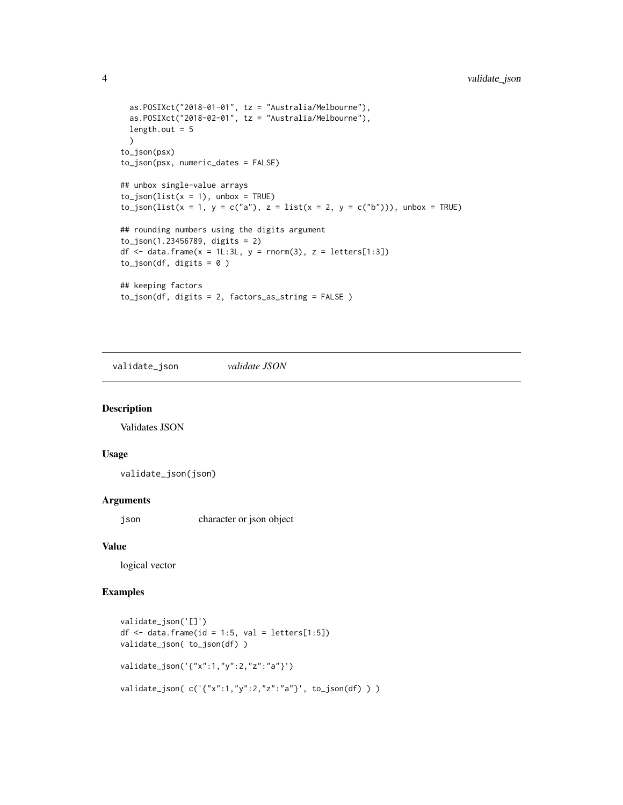```
as.POSIXct("2018-01-01", tz = "Australia/Melbourne"),
 as.POSIXct("2018-02-01", tz = "Australia/Melbourne"),
 length.out = 5\lambdato_json(psx)
to_json(psx, numeric_dates = FALSE)
## unbox single-value arrays
to_json(list(x = 1), unbox = TRUE)to_json(list(x = 1, y = c("a"), z = list(x = 2, y = c("b"))), unbox = TRUE)
## rounding numbers using the digits argument
to_json(1.23456789, digits = 2)
df \le data.frame(x = 1L:3L, y = rnorm(3), z = letters[1:3])
to_json(df, digits = 0)
## keeping factors
to_json(df, digits = 2, factors_as_string = FALSE )
```
validate\_json *validate JSON*

#### Description

Validates JSON

#### Usage

validate\_json(json)

#### Arguments

json character or json object

#### Value

logical vector

#### Examples

```
validate_json('[]')
df \leftarrow data . frame(id = 1:5, val = letters[1:5])validate_json( to_json(df) )
validate_json('{"x":1,"y":2,"z":"a"}')
validate_json( c('{"x":1,"y":2,"z":"a"}', to_json(df) ) )
```
<span id="page-3-0"></span>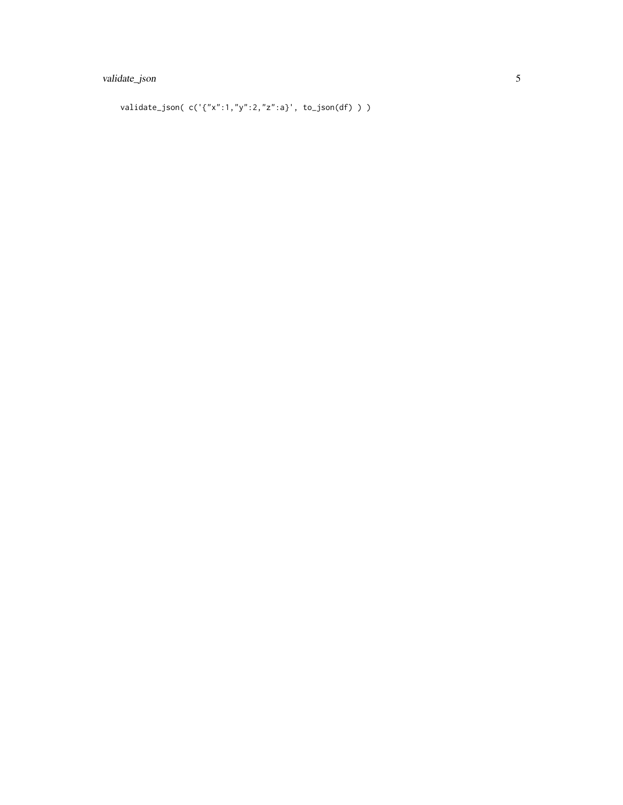### validate\_json 5

validate\_json( $c('{'x":1,"y":2,"z":a}'$ ; to\_json(df)))